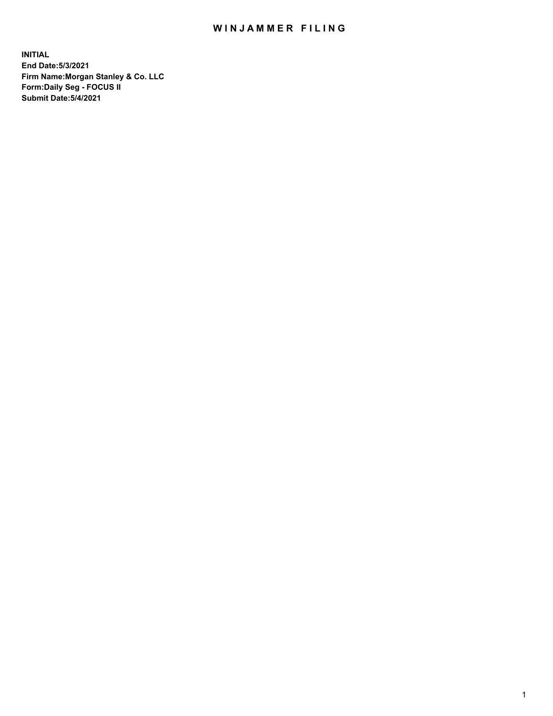## WIN JAMMER FILING

**INITIAL End Date:5/3/2021 Firm Name:Morgan Stanley & Co. LLC Form:Daily Seg - FOCUS II Submit Date:5/4/2021**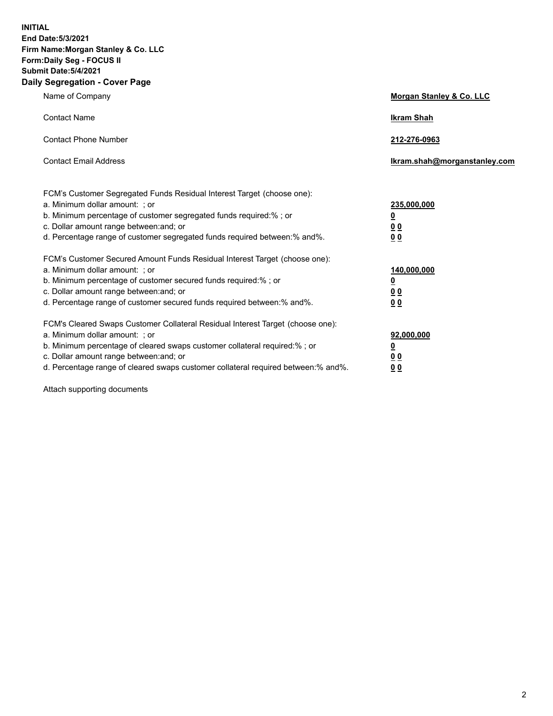**INITIAL End Date:5/3/2021 Firm Name:Morgan Stanley & Co. LLC Form:Daily Seg - FOCUS II Submit Date:5/4/2021 Daily Segregation - Cover Page**

| Name of Company                                                                                                                                                                                                                                                                                                                | Morgan Stanley & Co. LLC                                   |
|--------------------------------------------------------------------------------------------------------------------------------------------------------------------------------------------------------------------------------------------------------------------------------------------------------------------------------|------------------------------------------------------------|
| <b>Contact Name</b>                                                                                                                                                                                                                                                                                                            | <b>Ikram Shah</b>                                          |
| <b>Contact Phone Number</b>                                                                                                                                                                                                                                                                                                    | 212-276-0963                                               |
| <b>Contact Email Address</b>                                                                                                                                                                                                                                                                                                   | lkram.shah@morganstanley.com                               |
| FCM's Customer Segregated Funds Residual Interest Target (choose one):<br>a. Minimum dollar amount: ; or<br>b. Minimum percentage of customer segregated funds required:% ; or<br>c. Dollar amount range between: and; or<br>d. Percentage range of customer segregated funds required between:% and%.                         | 235,000,000<br><u>0</u><br><u>00</u><br>0 <sup>0</sup>     |
| FCM's Customer Secured Amount Funds Residual Interest Target (choose one):<br>a. Minimum dollar amount: ; or<br>b. Minimum percentage of customer secured funds required:%; or<br>c. Dollar amount range between: and; or<br>d. Percentage range of customer secured funds required between:% and%.                            | 140,000,000<br><u>0</u><br><u>0 0</u><br>0 Q               |
| FCM's Cleared Swaps Customer Collateral Residual Interest Target (choose one):<br>a. Minimum dollar amount: ; or<br>b. Minimum percentage of cleared swaps customer collateral required:% ; or<br>c. Dollar amount range between: and; or<br>d. Percentage range of cleared swaps customer collateral required between:% and%. | 92,000,000<br><u>0</u><br>0 <sup>0</sup><br>0 <sub>0</sub> |

Attach supporting documents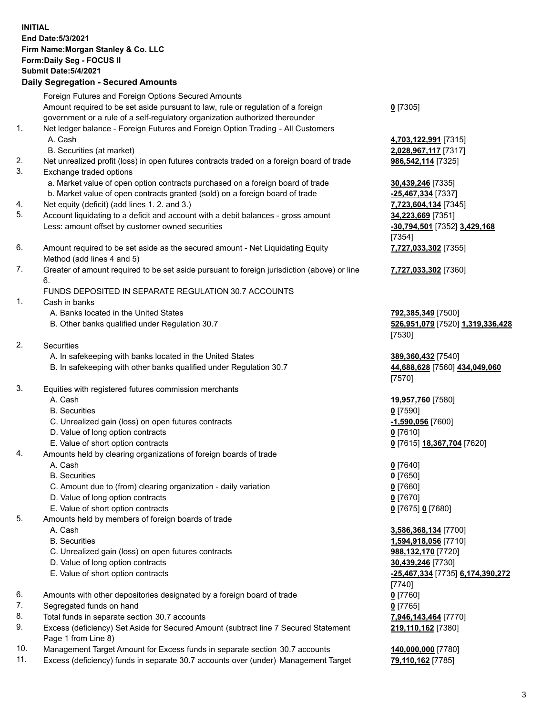## **INITIAL End Date:5/3/2021 Firm Name:Morgan Stanley & Co. LLC Form:Daily Seg - FOCUS II Submit Date:5/4/2021 Daily Segregation - Secured Amounts** Foreign Futures and Foreign Options Secured Amounts Amount required to be set aside pursuant to law, rule or regulation of a foreign government or a rule of a self-regulatory organization authorized thereunder **0** [7305] 1. Net ledger balance - Foreign Futures and Foreign Option Trading - All Customers A. Cash **4,703,122,991** [7315] B. Securities (at market) **2,028,967,117** [7317] 2. Net unrealized profit (loss) in open futures contracts traded on a foreign board of trade **986,542,114** [7325] 3. Exchange traded options a. Market value of open option contracts purchased on a foreign board of trade **30,439,246** [7335] b. Market value of open contracts granted (sold) on a foreign board of trade **-25,467,334** [7337] 4. Net equity (deficit) (add lines 1. 2. and 3.) **7,723,604,134** [7345] 5. Account liquidating to a deficit and account with a debit balances - gross amount **34,223,669** [7351] Less: amount offset by customer owned securities **-30,794,501** [7352] **3,429,168** [7354] 6. Amount required to be set aside as the secured amount - Net Liquidating Equity Method (add lines 4 and 5) **7,727,033,302** [7355] 7. Greater of amount required to be set aside pursuant to foreign jurisdiction (above) or line 6. **7,727,033,302** [7360] FUNDS DEPOSITED IN SEPARATE REGULATION 30.7 ACCOUNTS 1. Cash in banks A. Banks located in the United States **792,385,349** [7500] B. Other banks qualified under Regulation 30.7 **526,951,079** [7520] **1,319,336,428** 2. Securities A. In safekeeping with banks located in the United States **389,360,432** [7540] B. In safekeeping with other banks qualified under Regulation 30.7 **44,688,628** [7560] **434,049,060** 3. Equities with registered futures commission merchants A. Cash **19,957,760** [7580] B. Securities **0** [7590] C. Unrealized gain (loss) on open futures contracts **-1,590,056** [7600] D. Value of long option contracts **0** [7610] E. Value of short option contracts **0** [7615] **18,367,704** [7620] 4. Amounts held by clearing organizations of foreign boards of trade A. Cash **0** [7640] B. Securities **0** [7650] C. Amount due to (from) clearing organization - daily variation **0** [7660] D. Value of long option contracts **0** [7670] E. Value of short option contracts **0** [7675] **0** [7680] 5. Amounts held by members of foreign boards of trade A. Cash **3,586,368,134** [7700] B. Securities **1,594,918,056** [7710] C. Unrealized gain (loss) on open futures contracts **988,132,170** [7720] D. Value of long option contracts **30,439,246** [7730] E. Value of short option contracts **-25,467,334** [7735] **6,174,390,272** 6. Amounts with other depositories designated by a foreign board of trade **0** [7760] 7. Segregated funds on hand **0** [7765] 8. Total funds in separate section 30.7 accounts **7,946,143,464** [7770]

- 9. Excess (deficiency) Set Aside for Secured Amount (subtract line 7 Secured Statement Page 1 from Line 8)
- 10. Management Target Amount for Excess funds in separate section 30.7 accounts **140,000,000** [7780]
- 11. Excess (deficiency) funds in separate 30.7 accounts over (under) Management Target **79,110,162** [7785]

[7530]

[7570]

[7740] **219,110,162** [7380]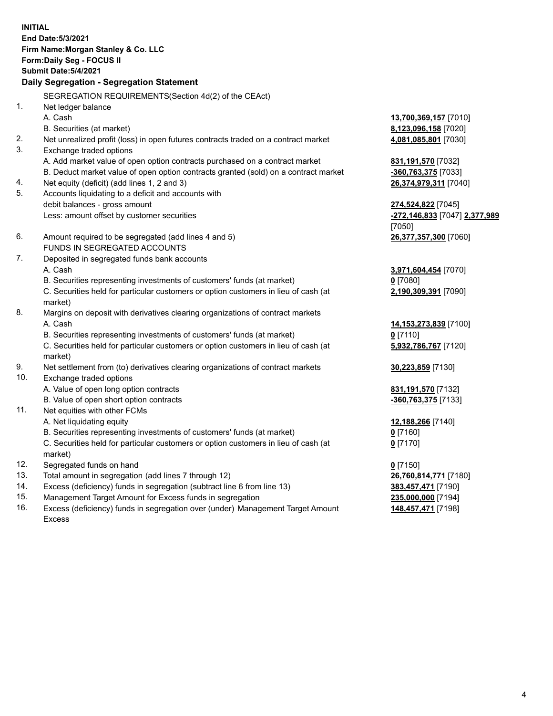**INITIAL End Date:5/3/2021 Firm Name:Morgan Stanley & Co. LLC Form:Daily Seg - FOCUS II Submit Date:5/4/2021 Daily Segregation - Segregation Statement** SEGREGATION REQUIREMENTS(Section 4d(2) of the CEAct) 1. Net ledger balance A. Cash **13,700,369,157** [7010] B. Securities (at market) **8,123,096,158** [7020] 2. Net unrealized profit (loss) in open futures contracts traded on a contract market **4,081,085,801** [7030] 3. Exchange traded options A. Add market value of open option contracts purchased on a contract market **831,191,570** [7032] B. Deduct market value of open option contracts granted (sold) on a contract market **-360,763,375** [7033] 4. Net equity (deficit) (add lines 1, 2 and 3) **26,374,979,311** [7040] 5. Accounts liquidating to a deficit and accounts with debit balances - gross amount **274,524,822** [7045] Less: amount offset by customer securities **-272,146,833** [7047] **2,377,989** [7050] 6. Amount required to be segregated (add lines 4 and 5) **26,377,357,300** [7060] FUNDS IN SEGREGATED ACCOUNTS 7. Deposited in segregated funds bank accounts A. Cash **3,971,604,454** [7070] B. Securities representing investments of customers' funds (at market) **0** [7080] C. Securities held for particular customers or option customers in lieu of cash (at market) **2,190,309,391** [7090] 8. Margins on deposit with derivatives clearing organizations of contract markets A. Cash **14,153,273,839** [7100] B. Securities representing investments of customers' funds (at market) **0** [7110] C. Securities held for particular customers or option customers in lieu of cash (at market) **5,932,786,767** [7120] 9. Net settlement from (to) derivatives clearing organizations of contract markets **30,223,859** [7130] 10. Exchange traded options A. Value of open long option contracts **831,191,570** [7132] B. Value of open short option contracts **-360,763,375** [7133] 11. Net equities with other FCMs A. Net liquidating equity **12,188,266** [7140] B. Securities representing investments of customers' funds (at market) **0** [7160] C. Securities held for particular customers or option customers in lieu of cash (at market) **0** [7170] 12. Segregated funds on hand **0** [7150] 13. Total amount in segregation (add lines 7 through 12) **26,760,814,771** [7180] 14. Excess (deficiency) funds in segregation (subtract line 6 from line 13) **383,457,471** [7190] 15. Management Target Amount for Excess funds in segregation **235,000,000** [7194] **148,457,471** [7198]

16. Excess (deficiency) funds in segregation over (under) Management Target Amount Excess